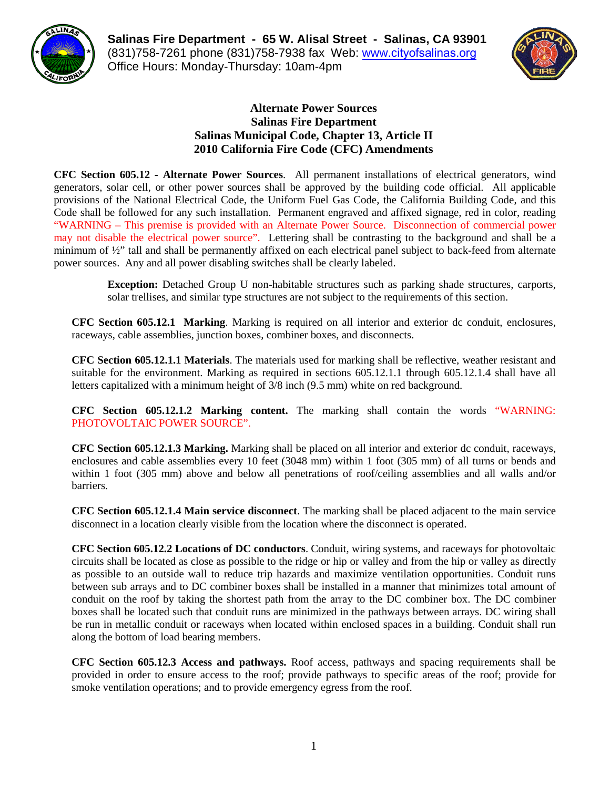

**Salinas Fire Department - 65 W. Alisal Street - Salinas, CA 93901**  (831)758-7261 phone (831)758-7938 fax Web: www.c[ityofsalinas.org](http://www.cityofsalinas.org)  Office Hours: Monday-Thursday: 10am-4pm



## **Alternate Power Sources Salinas Fire Department Salinas Municipal Code, Chapter 13, Article II 2010 California Fire Code (CFC) Amendments**

**CFC Section 605.12 - Alternate Power Sources**. All permanent installations of electrical generators, wind generators, solar cell, or other power sources shall be approved by the building code official. All applicable provisions of the National Electrical Code, the Uniform Fuel Gas Code, the California Building Code, and this Code shall be followed for any such installation. Permanent engraved and affixed signage, red in color, reading "WARNING – This premise is provided with an Alternate Power Source. Disconnection of commercial power may not disable the electrical power source". Lettering shall be contrasting to the background and shall be a minimum of ½" tall and shall be permanently affixed on each electrical panel subject to back-feed from alternate power sources. Any and all power disabling switches shall be clearly labeled.

> **Exception:** Detached Group U non-habitable structures such as parking shade structures, carports, solar trellises, and similar type structures are not subject to the requirements of this section.

**CFC Section 605.12.1 Marking**. Marking is required on all interior and exterior dc conduit, enclosures, raceways, cable assemblies, junction boxes, combiner boxes, and disconnects.

**CFC Section 605.12.1.1 Materials**. The materials used for marking shall be reflective, weather resistant and suitable for the environment. Marking as required in sections 605.12.1.1 through 605.12.1.4 shall have all letters capitalized with a minimum height of 3/8 inch (9.5 mm) white on red background.

**CFC Section 605.12.1.2 Marking content.** The marking shall contain the words "WARNING: PHOTOVOLTAIC POWER SOURCE".

**CFC Section 605.12.1.3 Marking.** Marking shall be placed on all interior and exterior dc conduit, raceways, enclosures and cable assemblies every 10 feet (3048 mm) within 1 foot (305 mm) of all turns or bends and within 1 foot (305 mm) above and below all penetrations of roof/ceiling assemblies and all walls and/or barriers.

**CFC Section 605.12.1.4 Main service disconnect**. The marking shall be placed adjacent to the main service disconnect in a location clearly visible from the location where the disconnect is operated.

**CFC Section 605.12.2 Locations of DC conductors**. Conduit, wiring systems, and raceways for photovoltaic circuits shall be located as close as possible to the ridge or hip or valley and from the hip or valley as directly as possible to an outside wall to reduce trip hazards and maximize ventilation opportunities. Conduit runs between sub arrays and to DC combiner boxes shall be installed in a manner that minimizes total amount of conduit on the roof by taking the shortest path from the array to the DC combiner box. The DC combiner boxes shall be located such that conduit runs are minimized in the pathways between arrays. DC wiring shall be run in metallic conduit or raceways when located within enclosed spaces in a building. Conduit shall run along the bottom of load bearing members.

**CFC Section 605.12.3 Access and pathways.** Roof access, pathways and spacing requirements shall be provided in order to ensure access to the roof; provide pathways to specific areas of the roof; provide for smoke ventilation operations; and to provide emergency egress from the roof.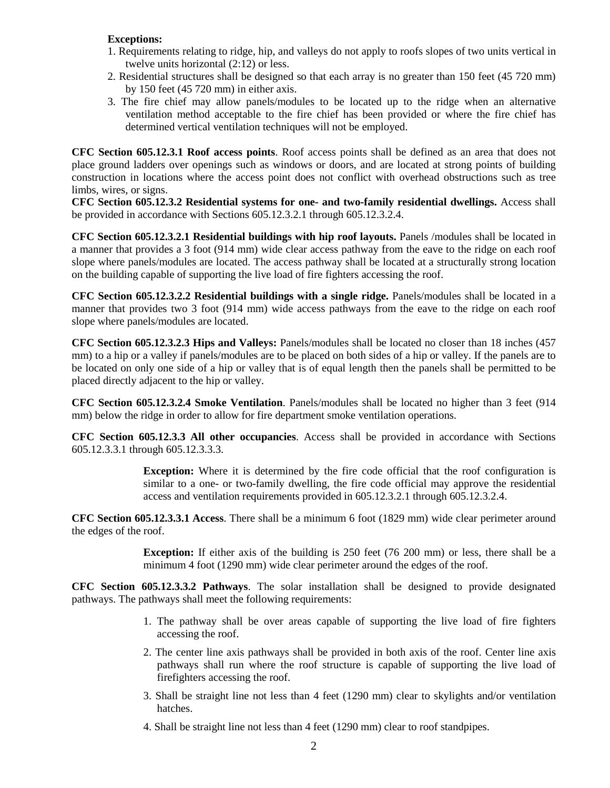## **Exceptions:**

- 1. Requirements relating to ridge, hip, and valleys do not apply to roofs slopes of two units vertical in twelve units horizontal (2:12) or less.
- 2. Residential structures shall be designed so that each array is no greater than 150 feet (45 720 mm) by 150 feet (45 720 mm) in either axis.
- 3. The fire chief may allow panels/modules to be located up to the ridge when an alternative ventilation method acceptable to the fire chief has been provided or where the fire chief has determined vertical ventilation techniques will not be employed.

**CFC Section 605.12.3.1 Roof access points**. Roof access points shall be defined as an area that does not place ground ladders over openings such as windows or doors, and are located at strong points of building construction in locations where the access point does not conflict with overhead obstructions such as tree limbs, wires, or signs.

**CFC Section 605.12.3.2 Residential systems for one- and two-family residential dwellings.** Access shall be provided in accordance with Sections 605.12.3.2.1 through 605.12.3.2.4.

**CFC Section 605.12.3.2.1 Residential buildings with hip roof layouts.** Panels /modules shall be located in a manner that provides a 3 foot (914 mm) wide clear access pathway from the eave to the ridge on each roof slope where panels/modules are located. The access pathway shall be located at a structurally strong location on the building capable of supporting the live load of fire fighters accessing the roof.

**CFC Section 605.12.3.2.2 Residential buildings with a single ridge.** Panels/modules shall be located in a manner that provides two 3 foot (914 mm) wide access pathways from the eave to the ridge on each roof slope where panels/modules are located.

**CFC Section 605.12.3.2.3 Hips and Valleys:** Panels/modules shall be located no closer than 18 inches (457 mm) to a hip or a valley if panels/modules are to be placed on both sides of a hip or valley. If the panels are to be located on only one side of a hip or valley that is of equal length then the panels shall be permitted to be placed directly adjacent to the hip or valley.

**CFC Section 605.12.3.2.4 Smoke Ventilation**. Panels/modules shall be located no higher than 3 feet (914 mm) below the ridge in order to allow for fire department smoke ventilation operations.

**CFC Section 605.12.3.3 All other occupancies**. Access shall be provided in accordance with Sections 605.12.3.3.1 through 605.12.3.3.3.

> **Exception:** Where it is determined by the fire code official that the roof configuration is similar to a one- or two-family dwelling, the fire code official may approve the residential access and ventilation requirements provided in 605.12.3.2.1 through 605.12.3.2.4.

**CFC Section 605.12.3.3.1 Access**. There shall be a minimum 6 foot (1829 mm) wide clear perimeter around the edges of the roof.

> **Exception:** If either axis of the building is 250 feet (76 200 mm) or less, there shall be a minimum 4 foot (1290 mm) wide clear perimeter around the edges of the roof.

**CFC Section 605.12.3.3.2 Pathways**. The solar installation shall be designed to provide designated pathways. The pathways shall meet the following requirements:

- 1. The pathway shall be over areas capable of supporting the live load of fire fighters accessing the roof.
- 2. The center line axis pathways shall be provided in both axis of the roof. Center line axis pathways shall run where the roof structure is capable of supporting the live load of firefighters accessing the roof.
- 3. Shall be straight line not less than 4 feet (1290 mm) clear to skylights and/or ventilation hatches.
- 4. Shall be straight line not less than 4 feet (1290 mm) clear to roof standpipes.